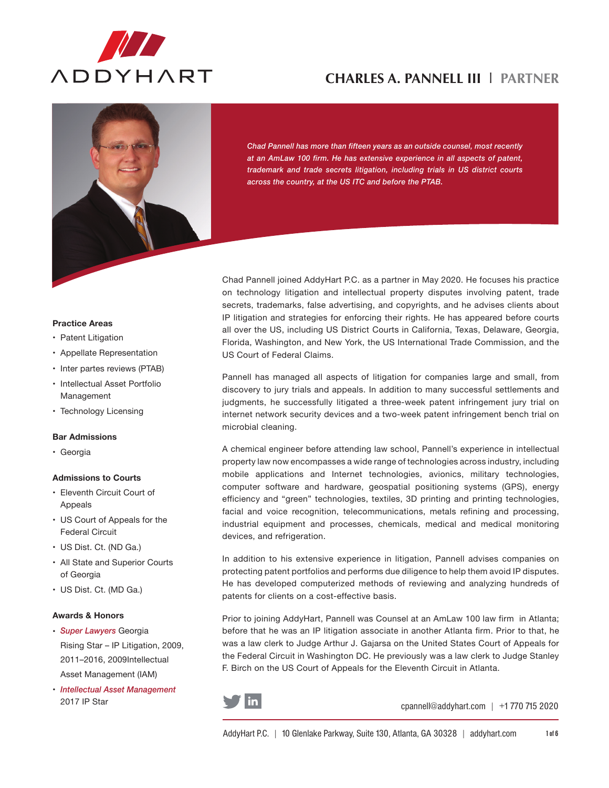



*Chad Pannell has more than fifteen years as an outside counsel, most recently at an AmLaw 100 firm. He has extensive experience in all aspects of patent, trademark and trade secrets litigation, including trials in US district courts across the country, at the US ITC and before the PTAB.*

#### **Practice Areas**

- Patent Litigation
- • Appellate Representation
- Inter partes reviews (PTAB)
- • Intellectual Asset Portfolio Management
- Technology Licensing

#### **Bar Admissions**

• Georgia

### **Admissions to Courts**

- • Eleventh Circuit Court of Appeals
- • US Court of Appeals for the Federal Circuit
- US Dist. Ct. (ND Ga.)
- • All State and Superior Courts of Georgia
- US Dist. Ct. (MD Ga.)

### **Awards & Honors**

- • *Super Lawyers* Georgia Rising Star – IP Litigation, 2009, 2011–2016, 2009Intellectual Asset Management (IAM)
- • *Intellectual Asset Management*  2017 IP Star

Chad Pannell joined AddyHart P.C. as a partner in May 2020. He focuses his practice on technology litigation and intellectual property disputes involving patent, trade secrets, trademarks, false advertising, and copyrights, and he advises clients about IP litigation and strategies for enforcing their rights. He has appeared before courts all over the US, including US District Courts in California, Texas, Delaware, Georgia, Florida, Washington, and New York, the US International Trade Commission, and the US Court of Federal Claims.

Pannell has managed all aspects of litigation for companies large and small, from discovery to jury trials and appeals. In addition to many successful settlements and judgments, he successfully litigated a three-week patent infringement jury trial on internet network security devices and a two-week patent infringement bench trial on microbial cleaning.

A chemical engineer before attending law school, Pannell's experience in intellectual property law now encompasses a wide range of technologies across industry, including mobile applications and Internet technologies, avionics, military technologies, computer software and hardware, geospatial positioning systems (GPS), energy efficiency and "green" technologies, textiles, 3D printing and printing technologies, facial and voice recognition, telecommunications, metals refining and processing, industrial equipment and processes, chemicals, medical and medical monitoring devices, and refrigeration.

In addition to his extensive experience in litigation, Pannell advises companies on protecting patent portfolios and performs due diligence to help them avoid IP disputes. He has developed computerized methods of reviewing and analyzing hundreds of patents for clients on a cost-effective basis.

Prior to joining AddyHart, Pannell was Counsel at an AmLaw 100 law firm in Atlanta; before that he was an IP litigation associate in another Atlanta firm. Prior to that, he was a law clerk to Judge Arthur J. Gajarsa on the United States Court of Appeals for the Federal Circuit in Washington DC. He previously was a law clerk to Judge Stanley F. Birch on the US Court of Appeals for the Eleventh Circuit in Atlanta.



cpannell@addyhart.com | +1 770 715 2020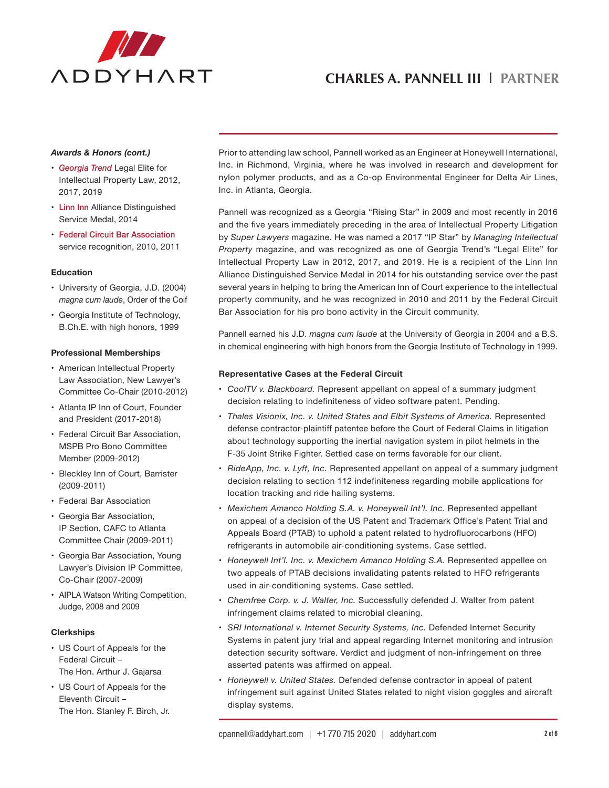

### *Awards & Honors (cont.)*

- • *Georgia Trend* Legal Elite for Intellectual Property Law, 2012, 2017, 2019
- Linn Inn Alliance Distinguished Service Medal, 2014
- • Federal Circuit Bar Association service recognition, 2010, 2011

### **Education**

- • University of Georgia, J.D. (2004) *magna cum laude*, Order of the Coif
- • Georgia Institute of Technology, B.Ch.E. with high honors, 1999

### **Professional Memberships**

- • American Intellectual Property Law Association, New Lawyer's Committee Co-Chair (2010-2012)
- • Atlanta IP Inn of Court, Founder and President (2017-2018)
- • Federal Circuit Bar Association, MSPB Pro Bono Committee Member (2009-2012)
- • Bleckley Inn of Court, Barrister (2009-2011)
- Federal Bar Association
- • Georgia Bar Association, IP Section, CAFC to Atlanta Committee Chair (2009-2011)
- • Georgia Bar Association, Young Lawyer's Division IP Committee, Co-Chair (2007-2009)
- AIPLA Watson Writing Competition, Judge, 2008 and 2009

### **Clerkships**

- • US Court of Appeals for the Federal Circuit – The Hon. Arthur J. Gajarsa
- US Court of Appeals for the Eleventh Circuit – The Hon. Stanley F. Birch, Jr.

Prior to attending law school, Pannell worked as an Engineer at Honeywell International, Inc. in Richmond, Virginia, where he was involved in research and development for nylon polymer products, and as a Co-op Environmental Engineer for Delta Air Lines, Inc. in Atlanta, Georgia.

Pannell was recognized as a Georgia "Rising Star" in 2009 and most recently in 2016 and the five years immediately preceding in the area of Intellectual Property Litigation by *Super Lawyers* magazine. He was named a 2017 "IP Star" by *Managing Intellectual Property* magazine, and was recognized as one of Georgia Trend's "Legal Elite" for Intellectual Property Law in 2012, 2017, and 2019. He is a recipient of the Linn Inn Alliance Distinguished Service Medal in 2014 for his outstanding service over the past several years in helping to bring the American Inn of Court experience to the intellectual property community, and he was recognized in 2010 and 2011 by the Federal Circuit Bar Association for his pro bono activity in the Circuit community.

Pannell earned his J.D. *magna cum laude* at the University of Georgia in 2004 and a B.S. in chemical engineering with high honors from the Georgia Institute of Technology in 1999.

### **Representative Cases at the Federal Circuit**

- • *CoolTV v. Blackboard.* Represent appellant on appeal of a summary judgment decision relating to indefiniteness of video software patent. Pending.
- • *Thales Visionix, Inc. v. United States and Elbit Systems of America.* Represented defense contractor-plaintiff patentee before the Court of Federal Claims in litigation about technology supporting the inertial navigation system in pilot helmets in the F-35 Joint Strike Fighter. Settled case on terms favorable for our client.
- • *RideApp, Inc. v. Lyft, Inc.* Represented appellant on appeal of a summary judgment decision relating to section 112 indefiniteness regarding mobile applications for location tracking and ride hailing systems.
- Mexichem Amanco Holding S.A. v. Honeywell Int'l. Inc. Represented appellant on appeal of a decision of the US Patent and Trademark Office's Patent Trial and Appeals Board (PTAB) to uphold a patent related to hydrofluorocarbons (HFO) refrigerants in automobile air-conditioning systems. Case settled.
- Honeywell Int'l. Inc. v. Mexichem Amanco Holding S.A. Represented appellee on two appeals of PTAB decisions invalidating patents related to HFO refrigerants used in air-conditioning systems. Case settled.
- • *Chemfree Corp. v. J. Walter, Inc.* Successfully defended J. Walter from patent infringement claims related to microbial cleaning.
- • *SRI International v. Internet Security Systems, Inc.* Defended Internet Security Systems in patent jury trial and appeal regarding Internet monitoring and intrusion detection security software. Verdict and judgment of non-infringement on three asserted patents was affirmed on appeal.
- • *Honeywell v. United States.* Defended defense contractor in appeal of patent infringement suit against United States related to night vision goggles and aircraft display systems.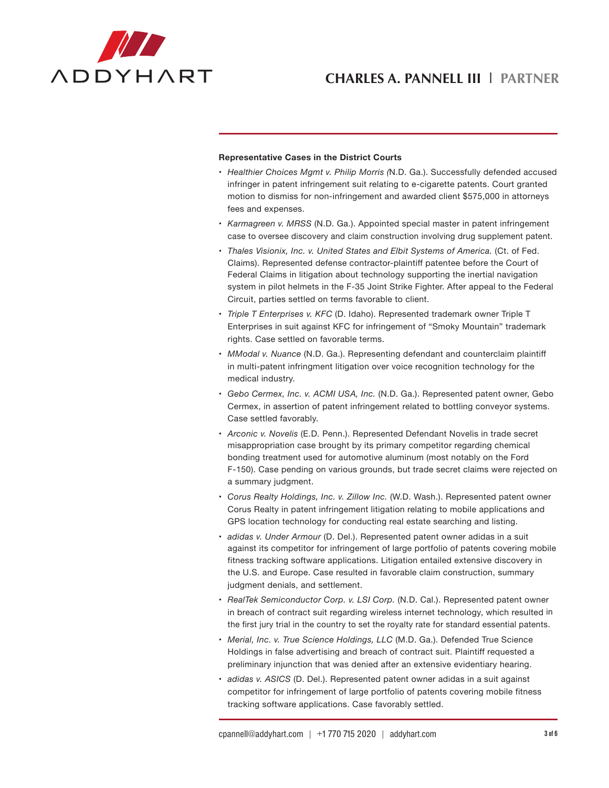

### **Representative Cases in the District Courts**

- • *Healthier Choices Mgmt v. Philip Morris (*N.D. Ga.). Successfully defended accused infringer in patent infringement suit relating to e-cigarette patents. Court granted motion to dismiss for non-infringement and awarded client \$575,000 in attorneys fees and expenses.
- • *Karmagreen v. MRSS* (N.D. Ga.). Appointed special master in patent infringement case to oversee discovery and claim construction involving drug supplement patent.
- • *Thales Visionix, Inc. v. United States and Elbit Systems of America.* (Ct. of Fed. Claims). Represented defense contractor-plaintiff patentee before the Court of Federal Claims in litigation about technology supporting the inertial navigation system in pilot helmets in the F-35 Joint Strike Fighter. After appeal to the Federal Circuit, parties settled on terms favorable to client.
- • *Triple T Enterprises v. KFC* (D. Idaho). Represented trademark owner Triple T Enterprises in suit against KFC for infringement of "Smoky Mountain" trademark rights. Case settled on favorable terms.
- • *MModal v. Nuance* (N.D. Ga.). Representing defendant and counterclaim plaintiff in multi-patent infringment litigation over voice recognition technology for the medical industry.
- • *Gebo Cermex, Inc. v. ACMI USA, Inc.* (N.D. Ga.). Represented patent owner, Gebo Cermex, in assertion of patent infringement related to bottling conveyor systems. Case settled favorably.
- • *Arconic v. Novelis* (E.D. Penn.). Represented Defendant Novelis in trade secret misappropriation case brought by its primary competitor regarding chemical bonding treatment used for automotive aluminum (most notably on the Ford F-150). Case pending on various grounds, but trade secret claims were rejected on a summary judgment.
- • *Corus Realty Holdings, Inc. v. Zillow Inc.* (W.D. Wash.). Represented patent owner Corus Realty in patent infringement litigation relating to mobile applications and GPS location technology for conducting real estate searching and listing.
- • *adidas v. Under Armour* (D. Del.). Represented patent owner adidas in a suit against its competitor for infringement of large portfolio of patents covering mobile fitness tracking software applications. Litigation entailed extensive discovery in the U.S. and Europe. Case resulted in favorable claim construction, summary judgment denials, and settlement.
- • *RealTek Semiconductor Corp. v. LSI Corp.* (N.D. Cal.). Represented patent owner in breach of contract suit regarding wireless internet technology, which resulted in the first jury trial in the country to set the royalty rate for standard essential patents.
- • *Merial, Inc. v. True Science Holdings, LLC* (M.D. Ga.). Defended True Science Holdings in false advertising and breach of contract suit. Plaintiff requested a preliminary injunction that was denied after an extensive evidentiary hearing.
- • *adidas v. ASICS* (D. Del.). Represented patent owner adidas in a suit against competitor for infringement of large portfolio of patents covering mobile fitness tracking software applications. Case favorably settled.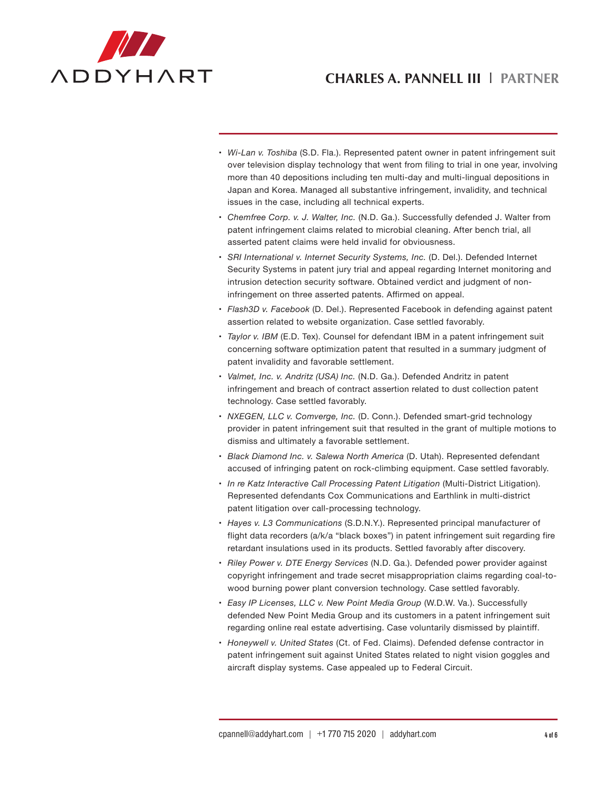

- • *Wi-Lan v. Toshiba* (S.D. Fla.). Represented patent owner in patent infringement suit over television display technology that went from filing to trial in one year, involving more than 40 depositions including ten multi-day and multi-lingual depositions in Japan and Korea. Managed all substantive infringement, invalidity, and technical issues in the case, including all technical experts.
- • *Chemfree Corp. v. J. Walter, Inc.* (N.D. Ga.). Successfully defended J. Walter from patent infringement claims related to microbial cleaning. After bench trial, all asserted patent claims were held invalid for obviousness.
- • *SRI International v. Internet Security Systems, Inc.* (D. Del.). Defended Internet Security Systems in patent jury trial and appeal regarding Internet monitoring and intrusion detection security software. Obtained verdict and judgment of noninfringement on three asserted patents. Affirmed on appeal.
- • *Flash3D v. Facebook* (D. Del.). Represented Facebook in defending against patent assertion related to website organization. Case settled favorably.
- • *Taylor v. IBM* (E.D. Tex). Counsel for defendant IBM in a patent infringement suit concerning software optimization patent that resulted in a summary judgment of patent invalidity and favorable settlement.
- • *Valmet, Inc. v. Andritz (USA) Inc.* (N.D. Ga.). Defended Andritz in patent infringement and breach of contract assertion related to dust collection patent technology. Case settled favorably.
- • *NXEGEN, LLC v. Comverge, Inc.* (D. Conn.). Defended smart-grid technology provider in patent infringement suit that resulted in the grant of multiple motions to dismiss and ultimately a favorable settlement.
- • *Black Diamond Inc. v. Salewa North America* (D. Utah). Represented defendant accused of infringing patent on rock-climbing equipment. Case settled favorably.
- • *In re Katz Interactive Call Processing Patent Litigation* (Multi-District Litigation). Represented defendants Cox Communications and Earthlink in multi-district patent litigation over call-processing technology.
- • *Hayes v. L3 Communications* (S.D.N.Y.). Represented principal manufacturer of flight data recorders (a/k/a "black boxes") in patent infringement suit regarding fire retardant insulations used in its products. Settled favorably after discovery.
- • *Riley Power v. DTE Energy Services* (N.D. Ga.). Defended power provider against copyright infringement and trade secret misappropriation claims regarding coal-towood burning power plant conversion technology. Case settled favorably.
- • *Easy IP Licenses, LLC v. New Point Media Group* (W.D.W. Va.). Successfully defended New Point Media Group and its customers in a patent infringement suit regarding online real estate advertising. Case voluntarily dismissed by plaintiff.
- • *Honeywell v. United States* (Ct. of Fed. Claims). Defended defense contractor in patent infringement suit against United States related to night vision goggles and aircraft display systems. Case appealed up to Federal Circuit.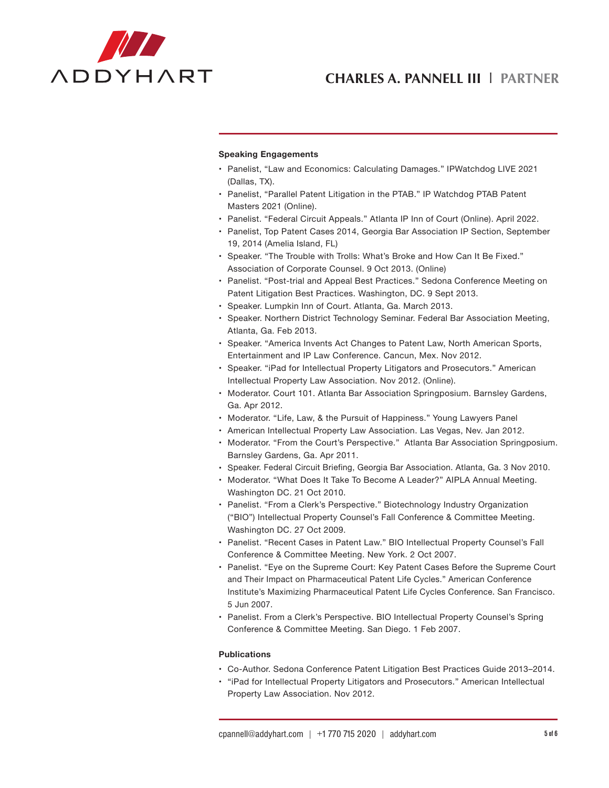

### **Speaking Engagements**

- Panelist, "Law and Economics: Calculating Damages." IPWatchdog LIVE 2021 (Dallas, TX).
- • Panelist, "Parallel Patent Litigation in the PTAB." IP Watchdog PTAB Patent Masters 2021 (Online).
- Panelist. "Federal Circuit Appeals." Atlanta IP Inn of Court (Online). April 2022.
- • Panelist, Top Patent Cases 2014, Georgia Bar Association IP Section, September 19, 2014 (Amelia Island, FL)
- • Speaker. "The Trouble with Trolls: What's Broke and How Can It Be Fixed." Association of Corporate Counsel. 9 Oct 2013. (Online)
- • Panelist. "Post-trial and Appeal Best Practices." Sedona Conference Meeting on Patent Litigation Best Practices. Washington, DC. 9 Sept 2013.
- • Speaker. Lumpkin Inn of Court. Atlanta, Ga. March 2013.
- • Speaker. Northern District Technology Seminar. Federal Bar Association Meeting, Atlanta, Ga. Feb 2013.
- • Speaker. "America Invents Act Changes to Patent Law, North American Sports, Entertainment and IP Law Conference. Cancun, Mex. Nov 2012.
- • Speaker. "iPad for Intellectual Property Litigators and Prosecutors." American Intellectual Property Law Association. Nov 2012. (Online).
- Moderator. Court 101. Atlanta Bar Association Springposium. Barnsley Gardens, Ga. Apr 2012.
- Moderator. "Life, Law, & the Pursuit of Happiness." Young Lawyers Panel
- • American Intellectual Property Law Association. Las Vegas, Nev. Jan 2012.
- Moderator. "From the Court's Perspective." Atlanta Bar Association Springposium. Barnsley Gardens, Ga. Apr 2011.
- • Speaker. Federal Circuit Briefing, Georgia Bar Association. Atlanta, Ga. 3 Nov 2010.
- Moderator. "What Does It Take To Become A Leader?" AIPLA Annual Meeting. Washington DC. 21 Oct 2010.
- Panelist. "From a Clerk's Perspective." Biotechnology Industry Organization ("BIO") Intellectual Property Counsel's Fall Conference & Committee Meeting. Washington DC. 27 Oct 2009.
- Panelist. "Recent Cases in Patent Law." BIO Intellectual Property Counsel's Fall Conference & Committee Meeting. New York. 2 Oct 2007.
- • Panelist. "Eye on the Supreme Court: Key Patent Cases Before the Supreme Court and Their Impact on Pharmaceutical Patent Life Cycles." American Conference Institute's Maximizing Pharmaceutical Patent Life Cycles Conference. San Francisco. 5 Jun 2007.
- • Panelist. From a Clerk's Perspective. BIO Intellectual Property Counsel's Spring Conference & Committee Meeting. San Diego. 1 Feb 2007.

#### **Publications**

- • Co-Author. Sedona Conference Patent Litigation Best Practices Guide 2013–2014.
- • "iPad for Intellectual Property Litigators and Prosecutors." American Intellectual Property Law Association. Nov 2012.